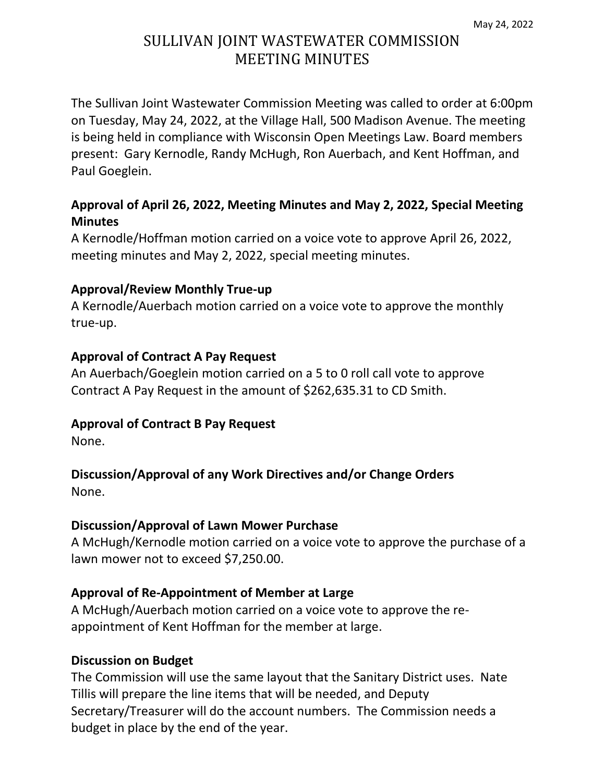# SULLIVAN JOINT WASTEWATER COMMISSION MEETING MINUTES

The Sullivan Joint Wastewater Commission Meeting was called to order at 6:00pm on Tuesday, May 24, 2022, at the Village Hall, 500 Madison Avenue. The meeting is being held in compliance with Wisconsin Open Meetings Law. Board members present: Gary Kernodle, Randy McHugh, Ron Auerbach, and Kent Hoffman, and Paul Goeglein.

### **Approval of April 26, 2022, Meeting Minutes and May 2, 2022, Special Meeting Minutes**

A Kernodle/Hoffman motion carried on a voice vote to approve April 26, 2022, meeting minutes and May 2, 2022, special meeting minutes.

#### **Approval/Review Monthly True-up**

A Kernodle/Auerbach motion carried on a voice vote to approve the monthly true-up.

#### **Approval of Contract A Pay Request**

An Auerbach/Goeglein motion carried on a 5 to 0 roll call vote to approve Contract A Pay Request in the amount of \$262,635.31 to CD Smith.

#### **Approval of Contract B Pay Request**

None.

# **Discussion/Approval of any Work Directives and/or Change Orders**

None.

#### **Discussion/Approval of Lawn Mower Purchase**

A McHugh/Kernodle motion carried on a voice vote to approve the purchase of a lawn mower not to exceed \$7,250.00.

#### **Approval of Re-Appointment of Member at Large**

A McHugh/Auerbach motion carried on a voice vote to approve the reappointment of Kent Hoffman for the member at large.

#### **Discussion on Budget**

The Commission will use the same layout that the Sanitary District uses. Nate Tillis will prepare the line items that will be needed, and Deputy Secretary/Treasurer will do the account numbers. The Commission needs a budget in place by the end of the year.